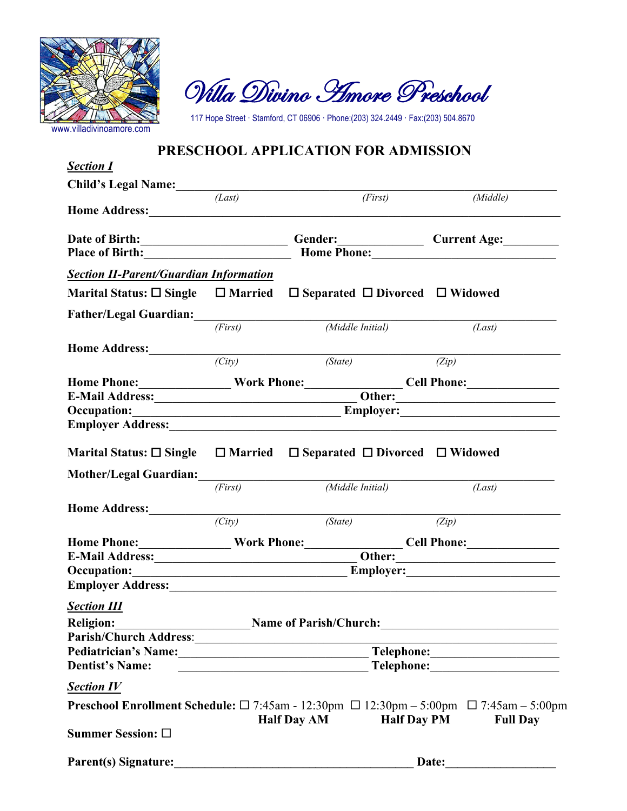

Villa Divino Amore Preschool

117 Hope Street · Stamford, CT 06906 · Phone:(203) 324.2449 · Fax:(203) 504.8670

## **PRESCHOOL APPLICATION FOR ADMISSION**

| Child's Legal Name:<br>$\overline{(Last)}$<br>(First)<br>(Middle)<br>Current Age:<br><b>Section II-Parent/Guardian Information</b><br>Marital Status: $\square$ Single $\square$ Married<br>$\Box$ Separated $\Box$ Divorced $\Box$ Widowed<br>(First)<br>(Middle Initial)<br>(Last)<br>(State)<br>(City)<br>(Zip)<br>Home Phone:________________Work Phone:______________Cell Phone:__________________<br>$\overline{\hspace{1cm}}$ Other:<br><b>Occupation:</b><br>Employer: Employer:<br>Marital Status: $\square$ Single $\square$ Married $\square$ Separated $\square$ Divorced $\square$ Widowed<br>(First)<br>(Middle Initial)<br>(Last)<br>Home Address:<br>(State)<br>(City)<br>(Zip)<br>Home Phone:_________________Work Phone:_________________Cell Phone:______________<br>E-Mail Address: 0ther: 0ther: 0ther: 0ther: 0ther: 0ther: 0ther: 0ther: 0ther: 0ther: 0ther: 0ther: 0ther: 0ther: 0ther: 0ther: 0ther: 0ther: 0ther: 0ther: 0ther: 0ther: 0ther: 0ther: 0ther: 0ther: 0ther: 0ther: 0ther: 0th<br>Occupation: Employer: Employer:<br><b>Section III</b><br><b>Religion:</b><br>Name of Parish/Church:<br><u> 1989 - Johann Barn, fransk politik amerikansk politik (</u><br>the control of the control of the control of the control of the control of<br><b>Dentist's Name:</b><br><u> 2002 - Jan James James James James James James James James James James James James James James James James J</u><br><b>Section IV</b> | <b>Section I</b> |  |  |  |  |  |
|-------------------------------------------------------------------------------------------------------------------------------------------------------------------------------------------------------------------------------------------------------------------------------------------------------------------------------------------------------------------------------------------------------------------------------------------------------------------------------------------------------------------------------------------------------------------------------------------------------------------------------------------------------------------------------------------------------------------------------------------------------------------------------------------------------------------------------------------------------------------------------------------------------------------------------------------------------------------------------------------------------------------------------------------------------------------------------------------------------------------------------------------------------------------------------------------------------------------------------------------------------------------------------------------------------------------------------------------------------------------------------------------------------------------------------------------------------|------------------|--|--|--|--|--|
|                                                                                                                                                                                                                                                                                                                                                                                                                                                                                                                                                                                                                                                                                                                                                                                                                                                                                                                                                                                                                                                                                                                                                                                                                                                                                                                                                                                                                                                       |                  |  |  |  |  |  |
|                                                                                                                                                                                                                                                                                                                                                                                                                                                                                                                                                                                                                                                                                                                                                                                                                                                                                                                                                                                                                                                                                                                                                                                                                                                                                                                                                                                                                                                       |                  |  |  |  |  |  |
|                                                                                                                                                                                                                                                                                                                                                                                                                                                                                                                                                                                                                                                                                                                                                                                                                                                                                                                                                                                                                                                                                                                                                                                                                                                                                                                                                                                                                                                       |                  |  |  |  |  |  |
|                                                                                                                                                                                                                                                                                                                                                                                                                                                                                                                                                                                                                                                                                                                                                                                                                                                                                                                                                                                                                                                                                                                                                                                                                                                                                                                                                                                                                                                       |                  |  |  |  |  |  |
|                                                                                                                                                                                                                                                                                                                                                                                                                                                                                                                                                                                                                                                                                                                                                                                                                                                                                                                                                                                                                                                                                                                                                                                                                                                                                                                                                                                                                                                       |                  |  |  |  |  |  |
|                                                                                                                                                                                                                                                                                                                                                                                                                                                                                                                                                                                                                                                                                                                                                                                                                                                                                                                                                                                                                                                                                                                                                                                                                                                                                                                                                                                                                                                       |                  |  |  |  |  |  |
|                                                                                                                                                                                                                                                                                                                                                                                                                                                                                                                                                                                                                                                                                                                                                                                                                                                                                                                                                                                                                                                                                                                                                                                                                                                                                                                                                                                                                                                       |                  |  |  |  |  |  |
|                                                                                                                                                                                                                                                                                                                                                                                                                                                                                                                                                                                                                                                                                                                                                                                                                                                                                                                                                                                                                                                                                                                                                                                                                                                                                                                                                                                                                                                       |                  |  |  |  |  |  |
|                                                                                                                                                                                                                                                                                                                                                                                                                                                                                                                                                                                                                                                                                                                                                                                                                                                                                                                                                                                                                                                                                                                                                                                                                                                                                                                                                                                                                                                       |                  |  |  |  |  |  |
|                                                                                                                                                                                                                                                                                                                                                                                                                                                                                                                                                                                                                                                                                                                                                                                                                                                                                                                                                                                                                                                                                                                                                                                                                                                                                                                                                                                                                                                       |                  |  |  |  |  |  |
|                                                                                                                                                                                                                                                                                                                                                                                                                                                                                                                                                                                                                                                                                                                                                                                                                                                                                                                                                                                                                                                                                                                                                                                                                                                                                                                                                                                                                                                       |                  |  |  |  |  |  |
|                                                                                                                                                                                                                                                                                                                                                                                                                                                                                                                                                                                                                                                                                                                                                                                                                                                                                                                                                                                                                                                                                                                                                                                                                                                                                                                                                                                                                                                       |                  |  |  |  |  |  |
|                                                                                                                                                                                                                                                                                                                                                                                                                                                                                                                                                                                                                                                                                                                                                                                                                                                                                                                                                                                                                                                                                                                                                                                                                                                                                                                                                                                                                                                       |                  |  |  |  |  |  |
|                                                                                                                                                                                                                                                                                                                                                                                                                                                                                                                                                                                                                                                                                                                                                                                                                                                                                                                                                                                                                                                                                                                                                                                                                                                                                                                                                                                                                                                       |                  |  |  |  |  |  |
|                                                                                                                                                                                                                                                                                                                                                                                                                                                                                                                                                                                                                                                                                                                                                                                                                                                                                                                                                                                                                                                                                                                                                                                                                                                                                                                                                                                                                                                       |                  |  |  |  |  |  |
|                                                                                                                                                                                                                                                                                                                                                                                                                                                                                                                                                                                                                                                                                                                                                                                                                                                                                                                                                                                                                                                                                                                                                                                                                                                                                                                                                                                                                                                       |                  |  |  |  |  |  |
|                                                                                                                                                                                                                                                                                                                                                                                                                                                                                                                                                                                                                                                                                                                                                                                                                                                                                                                                                                                                                                                                                                                                                                                                                                                                                                                                                                                                                                                       |                  |  |  |  |  |  |
|                                                                                                                                                                                                                                                                                                                                                                                                                                                                                                                                                                                                                                                                                                                                                                                                                                                                                                                                                                                                                                                                                                                                                                                                                                                                                                                                                                                                                                                       |                  |  |  |  |  |  |
|                                                                                                                                                                                                                                                                                                                                                                                                                                                                                                                                                                                                                                                                                                                                                                                                                                                                                                                                                                                                                                                                                                                                                                                                                                                                                                                                                                                                                                                       |                  |  |  |  |  |  |
|                                                                                                                                                                                                                                                                                                                                                                                                                                                                                                                                                                                                                                                                                                                                                                                                                                                                                                                                                                                                                                                                                                                                                                                                                                                                                                                                                                                                                                                       |                  |  |  |  |  |  |
|                                                                                                                                                                                                                                                                                                                                                                                                                                                                                                                                                                                                                                                                                                                                                                                                                                                                                                                                                                                                                                                                                                                                                                                                                                                                                                                                                                                                                                                       |                  |  |  |  |  |  |
|                                                                                                                                                                                                                                                                                                                                                                                                                                                                                                                                                                                                                                                                                                                                                                                                                                                                                                                                                                                                                                                                                                                                                                                                                                                                                                                                                                                                                                                       |                  |  |  |  |  |  |
|                                                                                                                                                                                                                                                                                                                                                                                                                                                                                                                                                                                                                                                                                                                                                                                                                                                                                                                                                                                                                                                                                                                                                                                                                                                                                                                                                                                                                                                       |                  |  |  |  |  |  |
|                                                                                                                                                                                                                                                                                                                                                                                                                                                                                                                                                                                                                                                                                                                                                                                                                                                                                                                                                                                                                                                                                                                                                                                                                                                                                                                                                                                                                                                       |                  |  |  |  |  |  |
|                                                                                                                                                                                                                                                                                                                                                                                                                                                                                                                                                                                                                                                                                                                                                                                                                                                                                                                                                                                                                                                                                                                                                                                                                                                                                                                                                                                                                                                       |                  |  |  |  |  |  |
|                                                                                                                                                                                                                                                                                                                                                                                                                                                                                                                                                                                                                                                                                                                                                                                                                                                                                                                                                                                                                                                                                                                                                                                                                                                                                                                                                                                                                                                       |                  |  |  |  |  |  |
|                                                                                                                                                                                                                                                                                                                                                                                                                                                                                                                                                                                                                                                                                                                                                                                                                                                                                                                                                                                                                                                                                                                                                                                                                                                                                                                                                                                                                                                       |                  |  |  |  |  |  |
|                                                                                                                                                                                                                                                                                                                                                                                                                                                                                                                                                                                                                                                                                                                                                                                                                                                                                                                                                                                                                                                                                                                                                                                                                                                                                                                                                                                                                                                       |                  |  |  |  |  |  |
|                                                                                                                                                                                                                                                                                                                                                                                                                                                                                                                                                                                                                                                                                                                                                                                                                                                                                                                                                                                                                                                                                                                                                                                                                                                                                                                                                                                                                                                       |                  |  |  |  |  |  |
| <b>Preschool Enrollment Schedule:</b> $\Box$ 7:45am - 12:30pm $\Box$ 12:30pm - 5:00pm $\Box$ 7:45am - 5:00pm                                                                                                                                                                                                                                                                                                                                                                                                                                                                                                                                                                                                                                                                                                                                                                                                                                                                                                                                                                                                                                                                                                                                                                                                                                                                                                                                          |                  |  |  |  |  |  |
| <b>Half Day PM</b><br><b>Half Day AM</b><br><b>Full Day</b>                                                                                                                                                                                                                                                                                                                                                                                                                                                                                                                                                                                                                                                                                                                                                                                                                                                                                                                                                                                                                                                                                                                                                                                                                                                                                                                                                                                           |                  |  |  |  |  |  |
| Summer Session: □                                                                                                                                                                                                                                                                                                                                                                                                                                                                                                                                                                                                                                                                                                                                                                                                                                                                                                                                                                                                                                                                                                                                                                                                                                                                                                                                                                                                                                     |                  |  |  |  |  |  |
| <b>Parent(s) Signature:</b><br>Date:                                                                                                                                                                                                                                                                                                                                                                                                                                                                                                                                                                                                                                                                                                                                                                                                                                                                                                                                                                                                                                                                                                                                                                                                                                                                                                                                                                                                                  |                  |  |  |  |  |  |